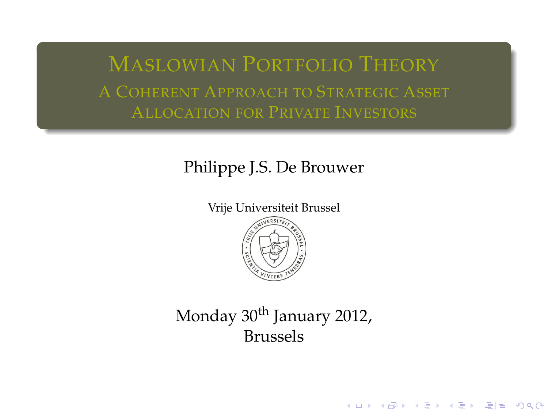MASLOWIAN PORTFOLIO THEORY A COHERENT APPROACH TO STRATEGIC ASSET ALLOCATION FOR PRIVATE INVESTORS

#### Philippe J.S. De Brouwer

Vrije Universiteit Brussel



## <span id="page-0-0"></span>Monday 30<sup>th</sup> January 2012, Brussels

K ロ K K @ K K 통 K K 통 X 통 등 19 X OK O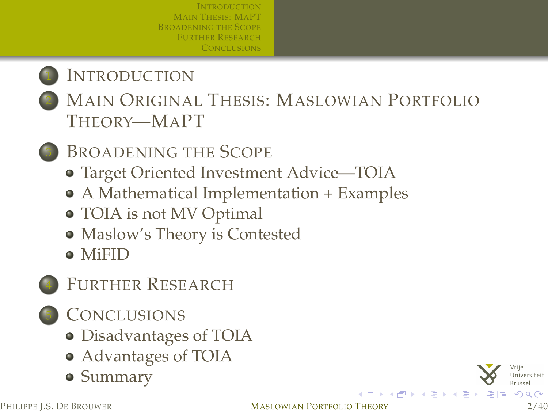## **I[NTRODUCTION](#page-2-0)**

- MAIN ORIGINAL THESIS: M[ASLOWIAN](#page-5-0) PORTFOLIO T[HEORY](#page-5-0)—MAPT
	- B[ROADENING THE](#page-8-0) SCOPE
		- [Target Oriented Investment Advice—TOIA](#page-11-0)
		- [A Mathematical Implementation + Examples](#page-14-0)
		- [TOIA is not MV Optimal](#page-23-0)
		- [Maslow's Theory is Contested](#page-24-0)
		- [MiFID](#page-25-0)
- FURTHER R[ESEARCH](#page-26-0)
- **C[ONCLUSIONS](#page-28-0)** 
	- [Disadvantages of TOIA](#page-29-0)
	- [Advantages of TOIA](#page-30-0)
	- [Summary](#page-31-0)

∢ □ ▶ ∢ *□*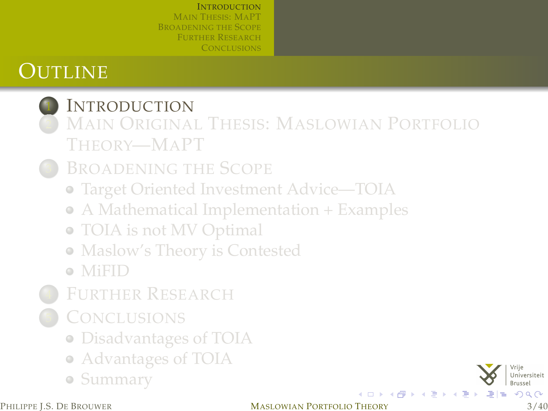# **OUTLINE**

# **I[NTRODUCTION](#page-2-0)**

- MAIN ORIGINAL THESIS: M[ASLOWIAN](#page-5-0) PORTFOLIO T[HEORY](#page-5-0)—MAPT
- **B[ROADENING THE](#page-8-0) SCOPE** 
	- [Target Oriented Investment Advice—TOIA](#page-11-0)
	- [A Mathematical Implementation + Examples](#page-14-0)
	- [TOIA is not MV Optimal](#page-23-0)
	- [Maslow's Theory is Contested](#page-24-0)
	- [MiFID](#page-25-0)
- FURTHER R[ESEARCH](#page-26-0)
- **C[ONCLUSIONS](#page-28-0)** 
	- [Disadvantages of TOIA](#page-29-0)
	- [Advantages of TOIA](#page-30-0)
	- [Summary](#page-31-0)

<span id="page-2-0"></span>

#### PHILIPPE L.S. DE BROUWER **MASLOWIAN PORTFOLIO THEORY** 3/40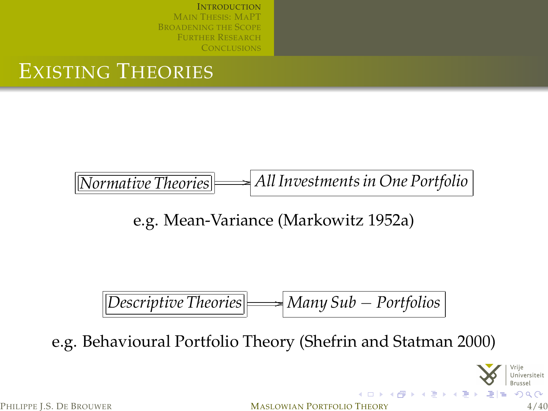## EXISTING THEORIES

*Normative Theories* /*All Investments in One Portfolio*

e.g. Mean-Variance [\(Markowitz 1952a\)](#page-36-0)

$$
[Description of Descriptive Theories]
$$

e.g. Behavioural Portfolio Theory [\(Shefrin and Statman 2000\)](#page-37-0)

PHILIPPE J.S. DE BROUWER **MASLOWIAN PORTFOLIO THEORY** 4/40

Universiteit

イロトイ団トイミドイミド 毛性 のんぺ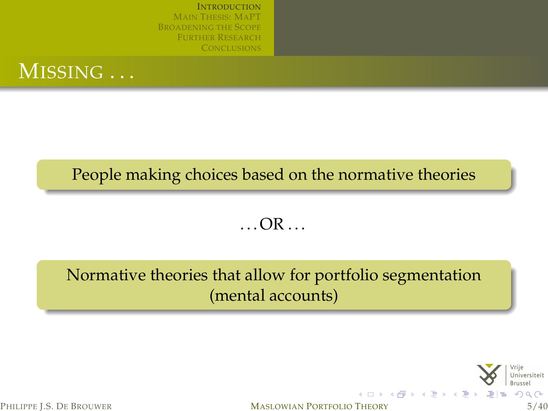

#### People making choices based on the normative theories

 $\ldots$  OR  $\ldots$ 

#### Normative theories that allow for portfolio segmentation (mental accounts)



PHILIPPE L.S. DE BROUWER **MASLOWIAN PORTFOLIO THEORY** 5/40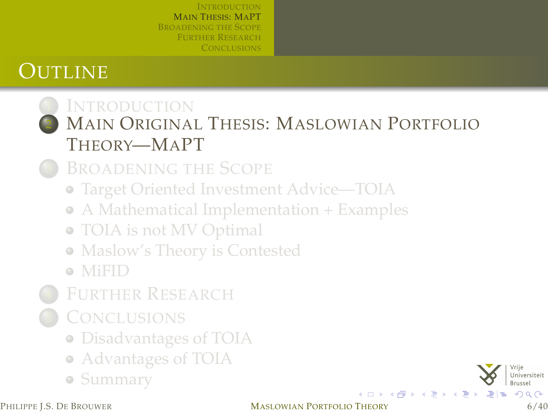# **OUTLINE**

# **I[NTRODUCTION](#page-2-0)**

MAIN ORIGINAL THESIS: M[ASLOWIAN](#page-5-0) PORTFOLIO T[HEORY](#page-5-0)—MAPT

**B[ROADENING THE](#page-8-0) SCOPE** 

[Target Oriented Investment Advice—TOIA](#page-11-0)

[A Mathematical Implementation + Examples](#page-14-0)

- [TOIA is not MV Optimal](#page-23-0)
- [Maslow's Theory is Contested](#page-24-0)

[MiFID](#page-25-0)

- FURTHER R[ESEARCH](#page-26-0)
- **C[ONCLUSIONS](#page-28-0)** 
	- [Disadvantages of TOIA](#page-29-0)
	- [Advantages of TOIA](#page-30-0)
	- [Summary](#page-31-0)

<span id="page-5-0"></span>メロメメ 伊 メメ きょくぼ メ 海  $QQ$ 

PHILIPPE L.S. DE BROUWER **MASLOWIAN PORTFOLIO THEORY** 6/40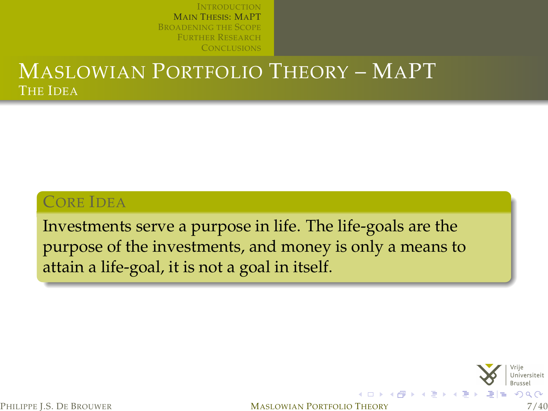#### MASLOWIAN PORTFOLIO THEORY – MAPT THE IDEA

#### CORE IDEA

Investments serve a purpose in life. The life-goals are the purpose of the investments, and money is only a means to attain a life-goal, it is not a goal in itself.



PHILIPPE L.S. DE BROUWER **MASLOWIAN PORTFOLIO THEORY** 7/40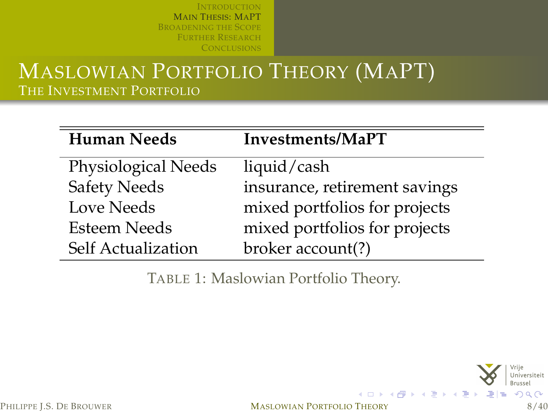#### MASLOWIAN PORTFOLIO THEORY (MAPT) THE INVESTMENT PORTFOLIO

| <b>Human Needs</b>  | Investments/MaPT              |
|---------------------|-------------------------------|
| Physiological Needs | liquid/cash                   |
| <b>Safety Needs</b> | insurance, retirement savings |
| Love Needs          | mixed portfolios for projects |
| Esteem Needs        | mixed portfolios for projects |
| Self Actualization  | broker account(?)             |

TABLE 1: Maslowian Portfolio Theory.



<span id="page-7-0"></span>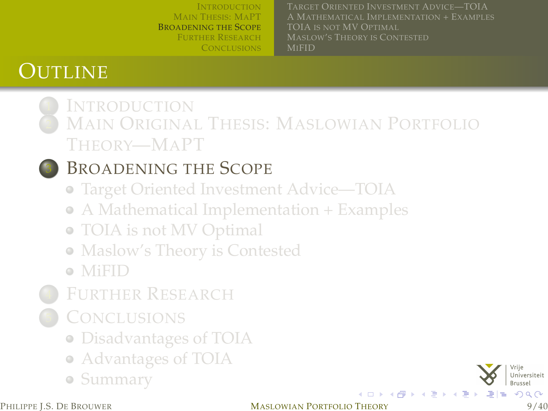MAIN T[HESIS](#page-5-0): MAPT B[ROADENING THE](#page-8-0) SCOPE FURTHER R[ESEARCH](#page-26-0) **C[ONCLUSIONS](#page-28-0)** A MATHEMATICAL I[MPLEMENTATION](#page-14-0) + EXAMPLES TOIA IS NOT [MV O](#page-23-0)PTIMAL MI[FID](#page-25-0)

# **OUTLINE**

#### **I[NTRODUCTION](#page-2-0)** MAIN ORIGINAL THESIS: M[ASLOWIAN](#page-5-0) PORTFOLIO T[HEORY](#page-5-0)—MAPT

## <sup>3</sup> B[ROADENING THE](#page-8-0) SCOPE

- [Target Oriented Investment Advice—TOIA](#page-11-0)
- [A Mathematical Implementation + Examples](#page-14-0)
- [TOIA is not MV Optimal](#page-23-0)
- [Maslow's Theory is Contested](#page-24-0)
- [MiFID](#page-25-0)
- FURTHER R[ESEARCH](#page-26-0)
- **C[ONCLUSIONS](#page-28-0)** 
	- [Disadvantages of TOIA](#page-29-0)
	- [Advantages of TOIA](#page-30-0)
	- [Summary](#page-31-0)

<span id="page-8-0"></span>

#### PHILIPPE L.S. DE BROUWER **MASLOWIAN PORTFOLIO THEORY** 9/40

イロトス個 トメミトス店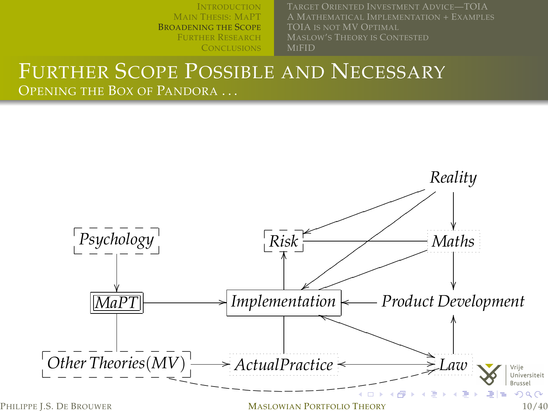I[NTRODUCTION](#page-2-0) MAIN T[HESIS](#page-5-0): MAPT B[ROADENING THE](#page-8-0) SCOPE FURTHER R[ESEARCH](#page-26-0) A MATHEMATICAL I[MPLEMENTATION](#page-14-0) + EXAMPLES MI[FID](#page-25-0)

#### FURTHER SCOPE POSSIBLE AND NECESSARY OPENING THE BOX OF PANDORA ...

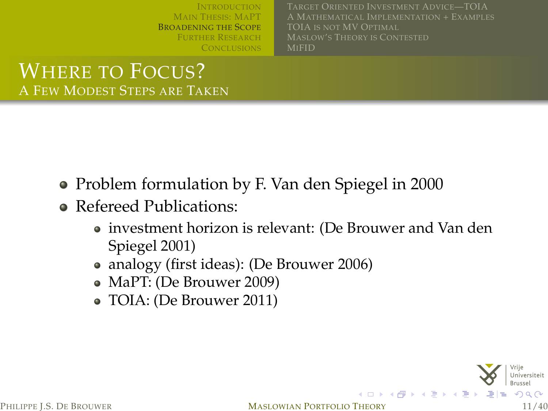MAIN T[HESIS](#page-5-0): MAPT B[ROADENING THE](#page-8-0) SCOPE FURTHER R[ESEARCH](#page-26-0) A MATHEMATICAL I[MPLEMENTATION](#page-14-0) + EXAMPLES TOIA IS NOT [MV O](#page-23-0)PTIMAL MI[FID](#page-25-0)

#### WHERE TO FOCUS? A FEW MODEST STEPS ARE TAKEN

- Problem formulation by F. Van den Spiegel in 2000
- Refereed Publications:
	- investment horizon is relevant: [\(De Brouwer and Van den](#page-36-1) [Spiegel 2001\)](#page-36-1)
	- analogy (first ideas): [\(De Brouwer 2006\)](#page-35-0)
	- MaPT: [\(De Brouwer 2009\)](#page-35-1)
	- TOIA: [\(De Brouwer 2011\)](#page-35-2)

PHILIPPE I.S. DE BROUWER **MASLOWIAN PORTFOLIO THEORY** 11/40

**K ロ ▶ K (足 ) × K**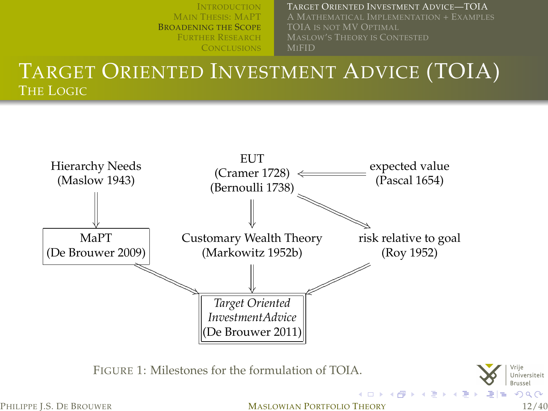TARGET ORIENTED I[NVESTMENT](#page-11-0) ADVICE—TOIA A MATHEMATICAL I[MPLEMENTATION](#page-14-0) + EXAMPLES

MI[FID](#page-25-0)

#### TARGET ORIENTED INVESTMENT ADVICE (TOIA) THE LOGIC



PHILIPPE L.S. DE BROUWER **MASLOWIAN PORTFOLIO THEORY** 12/40

<span id="page-11-0"></span>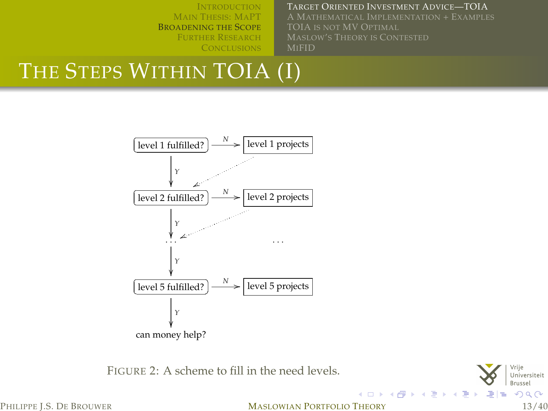#### TARGET ORIENTED I[NVESTMENT](#page-11-0) ADVICE—TOIA

A MATHEMATICAL I[MPLEMENTATION](#page-14-0) + EXAMPLES MI[FID](#page-25-0)

# THE STEPS WITHIN TOIA (I)



FIGURE 2: A scheme to fill in the need levels.



<span id="page-12-0"></span>PHILIPPE L.S. DE BROUWER **MASLOWIAN PORTFOLIO THEORY** 13/40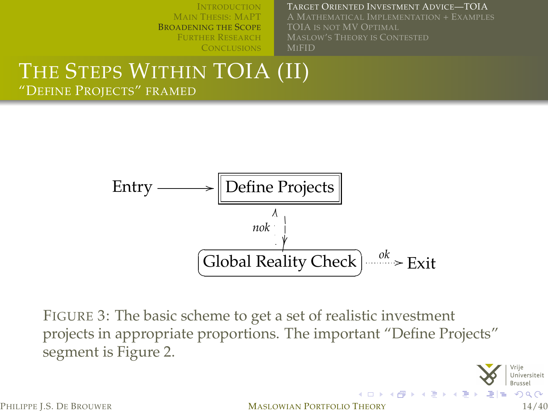#### TARGET ORIENTED I[NVESTMENT](#page-11-0) ADVICE—TOIA

A MATHEMATICAL I[MPLEMENTATION](#page-14-0) + EXAMPLES TOIA IS NOT [MV O](#page-23-0)PTIMAL MI[FID](#page-25-0)

#### THE STEPS WITHIN TOIA (II) "DEFINE PROJECTS" FRAMED



FIGURE 3: The basic scheme to get a set of realistic investment projects in appropriate proportions. The important "Define Projects" segment is Figure [2.](#page-12-0)

<span id="page-13-0"></span>

PHILIPPE I.S. DE BROUWER **MASLOWIAN PORTFOLIO THEORY** 14/40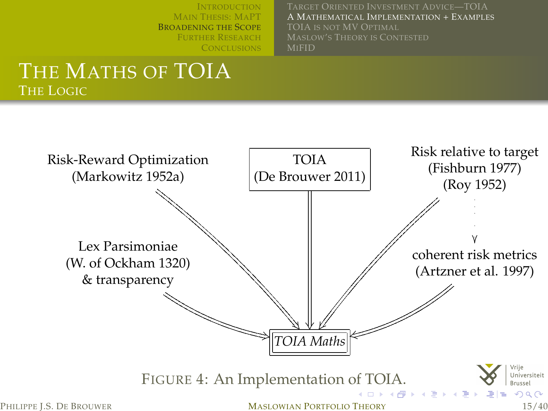<span id="page-14-0"></span>A MATHEMATICAL I[MPLEMENTATION](#page-14-0) + EXAMPLES TOIA IS NOT [MV O](#page-23-0)PTIMAL MI[FID](#page-25-0)

#### THE MATHS OF TOIA THE LOGIC

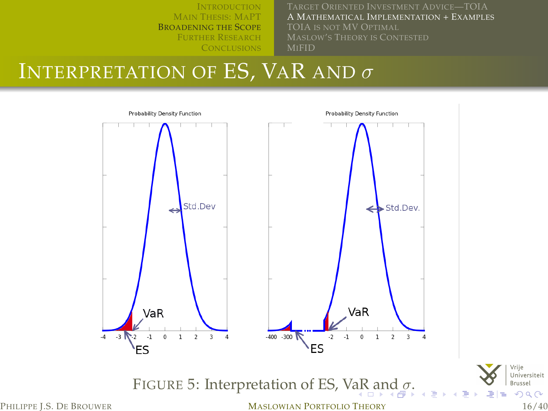<span id="page-15-0"></span>A MATHEMATICAL I[MPLEMENTATION](#page-14-0) + EXAMPLES MI[FID](#page-25-0)

# INTERPRETATION OF ES, VAR AND  $\sigma$

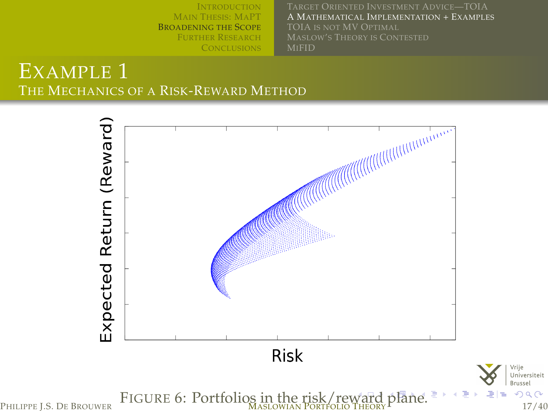I[NTRODUCTION](#page-2-0) MAIN T[HESIS](#page-5-0): MAPT B[ROADENING THE](#page-8-0) SCOPE FURTHER R[ESEARCH](#page-26-0) A MATHEMATICAL I[MPLEMENTATION](#page-14-0) + EXAMPLES MI[FID](#page-25-0)

#### EXAMPLE 1 THE MECHANICS OF A RISK-REWARD METHOD



<span id="page-16-0"></span> $2Q$ 

Vrije Universiteit Brussel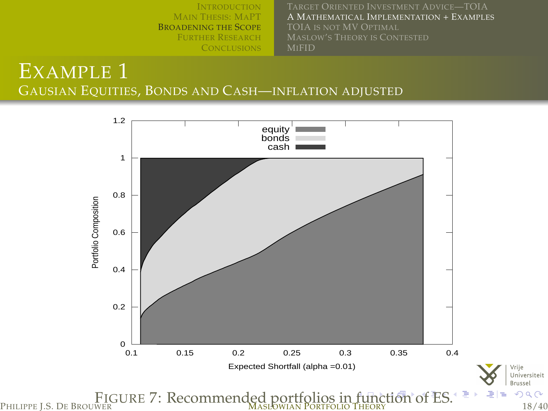I[NTRODUCTION](#page-2-0) MAIN T[HESIS](#page-5-0): MAPT B[ROADENING THE](#page-8-0) SCOPE FURTHER R[ESEARCH](#page-26-0) **C[ONCLUSIONS](#page-28-0)** A MATHEMATICAL I[MPLEMENTATION](#page-14-0) + EXAMPLES MI[FID](#page-25-0)

EXAMPLE 1 GAUSIAN EQUITIES, BONDS AND CASH—INFLATION ADJUSTED



<span id="page-17-0"></span>FIGURE 7: Recommended portfolios in [fu](#page-16-0)[nc](#page-18-0)[ti](#page-16-0)[on](#page-17-0)[o](#page-13-0)[f](#page-14-0) [E](#page-22-0)[S](#page-23-0)[.](#page-7-0) PHILIPPE J.S. DE BROUWER MASLOWIAN PORTFOLIO THEORY 18/40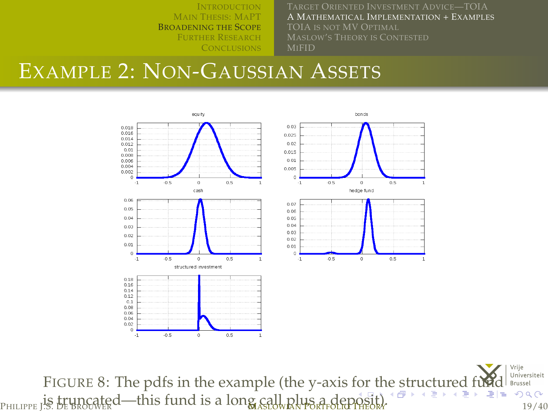<span id="page-18-0"></span>A MATHEMATICAL I[MPLEMENTATION](#page-14-0) + EXAMPLES MI[FID](#page-25-0)

## EXAMPLE 2: NON-GAUSSIAN ASSETS



FIGURE 8: T[he](#page-17-0) pdfs in the example (the y-axis for the [st](#page-18-0)[r](#page-19-0)[u](#page-0-0)[c](#page-14-0)[t](#page-22-0)[ur](#page-23-0)[e](#page-7-0)[d](#page-33-0)[f](#page-26-0)u[n](#page-32-0)ction of  $\mathbb{R}^n$ Universiteit  $P_{\text{HILIPPE}}$  is truncated—this fund is a long call plus a de[pos](#page-17-0)[it\).](#page-19-0)  $P_{\text{HILIPPE}}$   $\frac{1}{2}$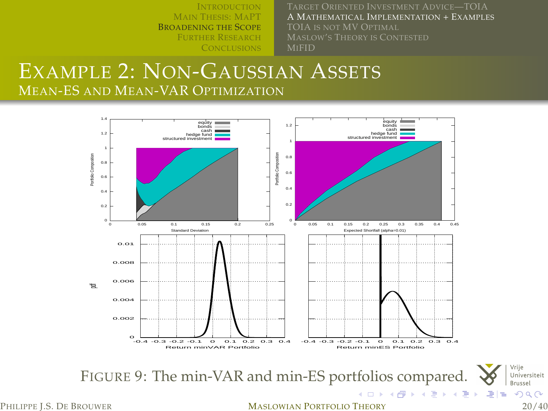A MATHEMATICAL I[MPLEMENTATION](#page-14-0) + EXAMPLES MI[FID](#page-25-0)

<span id="page-19-0"></span>Universiteit

#### EXAMPLE 2: NON-GAUSSIAN ASSETS MEAN-ES AND MEAN-VAR OPTIMIZATION



PHILIPPE L.S. DE BROUWER **MASLOWIAN PORTFOLIO THEORY** 20/40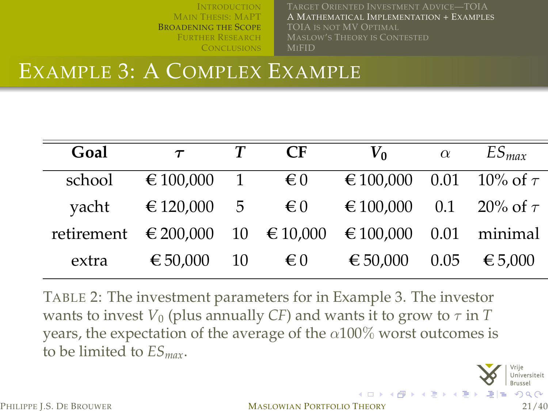A MATHEMATICAL I[MPLEMENTATION](#page-14-0) + EXAMPLES TOIA IS NOT [MV O](#page-23-0)PTIMAL MI[FID](#page-25-0)

**K ロ ト K 伊 ト K 店** 

# EXAMPLE 3: A COMPLEX EXAMPLE

| Goal   | $\tau$                                               | $\mathsf{C}\mathsf{F}$ | $V_0$                        | $\alpha$ | $ES_{max}$             |
|--------|------------------------------------------------------|------------------------|------------------------------|----------|------------------------|
| school | $\epsilon$ 100,000 1 $\epsilon$ 0                    |                        | € 100,000 0.01 10% of $\tau$ |          |                        |
| yacht  | $\epsilon$ 120,000 5 $\epsilon$ 0                    |                        | € 100,000 0.1 20% of $\tau$  |          |                        |
|        | retirement €200,000 10 €10,000 €100,000 0.01 minimal |                        |                              |          |                        |
| extra  | € 50,000 10                                          | € 0                    | € 50,000                     |          | $0.05 \quad \in 5,000$ |

TABLE 2: The investment parameters for in Example 3. The investor wants to invest  $V_0$  (plus annually *CF*) and wants it to grow to  $\tau$  in *T* years, the expectation of the average of the  $\alpha$ 100% worst outcomes is to be limited to *ESmax*.



PHILIPPE L.S. DE BROUWER **MASLOWIAN PORTFOLIO THEORY** 21/40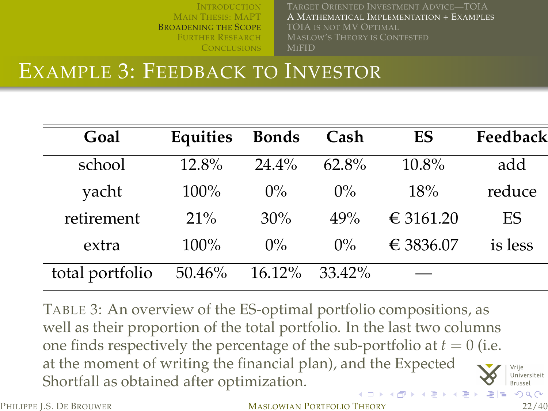TARGET ORIENTED I[NVESTMENT](#page-11-0) ADVICE—TOIA A MATHEMATICAL I[MPLEMENTATION](#page-14-0) + EXAMPLES TOIA IS NOT [MV O](#page-23-0)PTIMAL MI[FID](#page-25-0)

<span id="page-21-0"></span> $\Omega$ 

### EXAMPLE 3: FEEDBACK TO INVESTOR

| Goal            | Equities | <b>Bonds</b> | Cash     | ES        | Feedback |
|-----------------|----------|--------------|----------|-----------|----------|
| school          | 12.8%    | $24.4\%$     | $62.8\%$ | 10.8%     | add      |
| yacht           | $100\%$  | $0\%$        | $0\%$    | 18%       | reduce   |
| retirement      | $21\%$   | 30%          | 49%      | € 3161.20 | ES       |
| extra           | 100%     | $0\%$        | $0\%$    | € 3836.07 | is less  |
| total portfolio | 50.46%   | 16.12%       | 33.42%   |           |          |

TABLE 3: An overview of the ES-optimal portfolio compositions, as well as their proportion of the total portfolio. In the last two columns one finds respectively the percentage of the sub-portfolio at  $t = 0$  (i.e. at the moment of writing the financial plan), and the Expected Universiteit Shortfall as obtained after optimization.

PHILIPPE L.S. DE BROUWER **MASLOWIAN PORTFOLIO THEORY** 22/40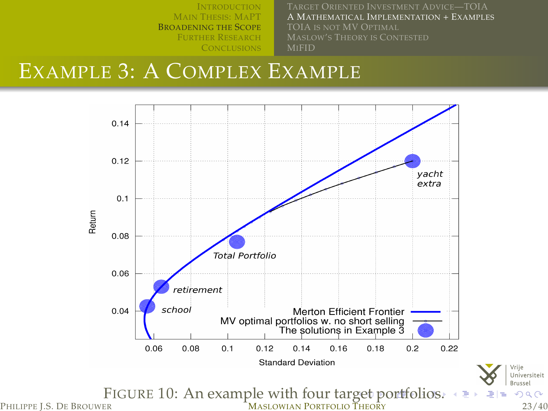I[NTRODUCTION](#page-2-0) MAIN T[HESIS](#page-5-0): MAPT B[ROADENING THE](#page-8-0) SCOPE FURTHER R[ESEARCH](#page-26-0) A MATHEMATICAL I[MPLEMENTATION](#page-14-0) + EXAMPLES MI[FID](#page-25-0)

> <span id="page-22-0"></span>Vrije Universiteit Brussel  $2Q$

## EXAMPLE 3: A COMPLEX EXAMPLE

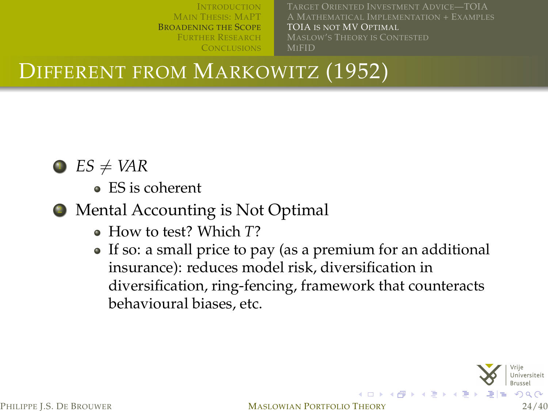A MATHEMATICAL I[MPLEMENTATION](#page-14-0) + EXAMPLES TOIA IS NOT [MV O](#page-23-0)PTIMAL MI[FID](#page-25-0)

DIFFERENT FROM MARKOWITZ (1952)



## $\bullet$  *ES*  $\neq$  *VAR*

ES is coherent

- <sup>2</sup> Mental Accounting is Not Optimal
	- How to test? Which *T*?
	- If so: a small price to pay (as a premium for an additional insurance): reduces model risk, diversification in diversification, ring-fencing, framework that counteracts behavioural biases, etc.



<span id="page-23-0"></span>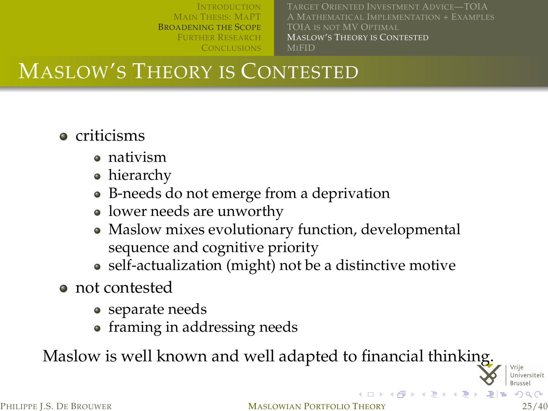A MATHEMATICAL I[MPLEMENTATION](#page-14-0) + EXAMPLES TOIA IS NOT [MV O](#page-23-0)PTIMAL MASLOW'S THEORY IS C[ONTESTED](#page-24-0) MI[FID](#page-25-0)

<span id="page-24-0"></span>**K ロ ▶ K (伊 ) K** 

# MASLOW'S THEORY IS CONTESTED

- **•** criticisms
	- nativism
	- hierarchy
	- B-needs do not emerge from a deprivation
	- lower needs are unworthy
	- Maslow mixes evolutionary function, developmental sequence and cognitive priority
	- self-actualization (might) not be a distinctive motive
- not contested
	- separate needs
	- framing in addressing needs

Maslow is well known and well adapted to financial thinking.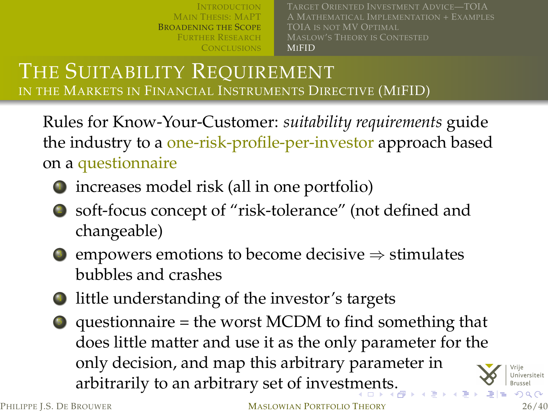MAIN T[HESIS](#page-5-0): MAPT B[ROADENING THE](#page-8-0) SCOPE FURTHER R[ESEARCH](#page-26-0) A MATHEMATICAL I[MPLEMENTATION](#page-14-0) + EXAMPLES TOIA IS NOT [MV O](#page-23-0)PTIMAL **MI[FID](#page-25-0)** 

#### THE SUITABILITY REQUIREMENT IN THE MARKETS IN FINANCIAL INSTRUMENTS DIRECTIVE (MIFID)

Rules for Know-Your-Customer: *suitability requirements* guide the industry to a one-risk-profile-per-investor approach based on a questionnaire

- $\bullet$  increases model risk (all in one portfolio)
- <sup>2</sup> soft-focus concept of "risk-tolerance" (not defined and changeable)
- $\odot$  empowers emotions to become decisive  $\Rightarrow$  stimulates bubbles and crashes
- little understanding of the investor's targets
- $\bullet$  questionnaire = the worst MCDM to find something that does little matter and use it as the only parameter for the only decision, and map this arbitrary parameter in arbitrarily to an arbitrary set of invest[me](#page-24-0)[nt](#page-26-0)[s](#page-24-0)[.](#page-25-0)

<span id="page-25-0"></span>

PHILIPPE L.S. DE BROUWER **MASLOWIAN PORTFOLIO THEORY** 26/40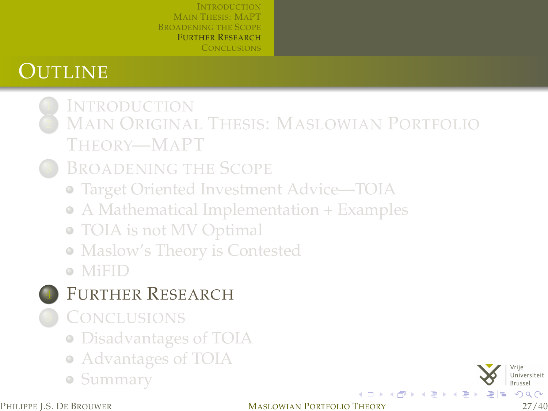# **OUTLINE**

- **I[NTRODUCTION](#page-2-0) MAIN ORIGINAL THESIS: M[ASLOWIAN](#page-5-0) PORTFOLIO** T[HEORY](#page-5-0)—MAPT
	- **B[ROADENING THE](#page-8-0) SCOPE** 
		- [Target Oriented Investment Advice—TOIA](#page-11-0)
		- [A Mathematical Implementation + Examples](#page-14-0)
		- [TOIA is not MV Optimal](#page-23-0)
		- [Maslow's Theory is Contested](#page-24-0)
		- [MiFID](#page-25-0)
	- FURTHER R[ESEARCH](#page-26-0)
	- **C[ONCLUSIONS](#page-28-0)** 
		- [Disadvantages of TOIA](#page-29-0)
		- [Advantages of TOIA](#page-30-0)
		- [Summary](#page-31-0)

<span id="page-26-0"></span>

PHILIPPE L.S. DE BROUWER **MASLOWIAN PORTFOLIO THEORY** 27/40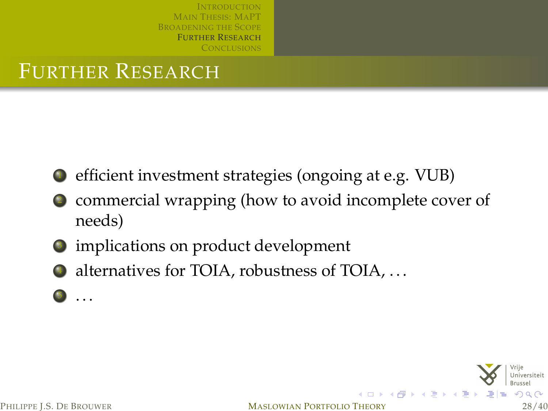# FURTHER RESEARCH

- <sup>1</sup> efficient investment strategies (ongoing at e.g. VUB)
- commercial wrapping (how to avoid incomplete cover of needs)
- $\bullet$  implications on product development
- $\bullet$  alternatives for TOIA, robustness of TOIA, ...
	- . . . .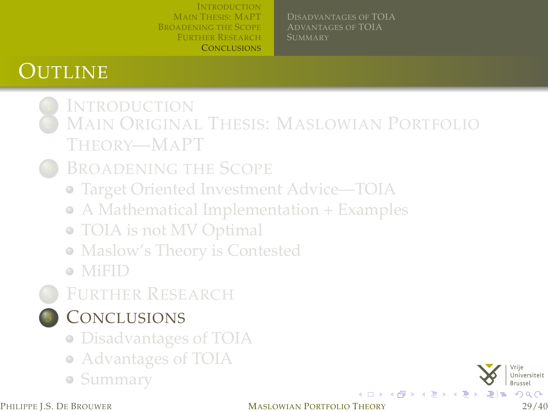D[ISADVANTAGES OF](#page-29-0) TOIA A[DVANTAGES OF](#page-30-0) TOIA

# **OUTLINE**

- **I[NTRODUCTION](#page-2-0)** MAIN ORIGINAL THESIS: M[ASLOWIAN](#page-5-0) PORTFOLIO T[HEORY](#page-5-0)—MAPT
	- **B[ROADENING THE](#page-8-0) SCOPE** 
		- [Target Oriented Investment Advice—TOIA](#page-11-0)
		- [A Mathematical Implementation + Examples](#page-14-0)
		- [TOIA is not MV Optimal](#page-23-0)
		- [Maslow's Theory is Contested](#page-24-0)
		- [MiFID](#page-25-0)
	- **FURTHER R[ESEARCH](#page-26-0)** 
		- **C[ONCLUSIONS](#page-28-0)**
		- [Disadvantages of TOIA](#page-29-0)
		- [Advantages of TOIA](#page-30-0)
		- [Summary](#page-31-0)

<span id="page-28-0"></span> $QQ$ 

イロトス個 トメミトス店

#### PHILIPPE L.S. DE BROUWER **MASLOWIAN PORTFOLIO THEORY** 29/40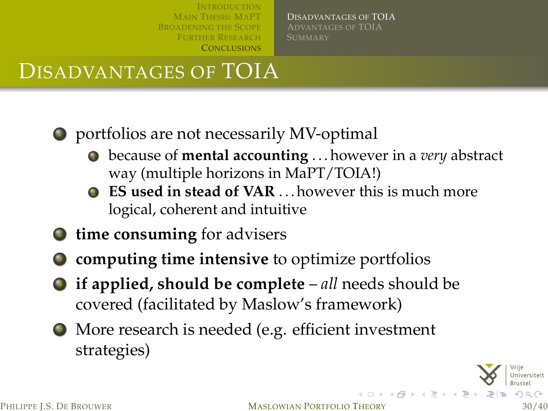D[ISADVANTAGES OF](#page-29-0) TOIA A[DVANTAGES OF](#page-30-0) TOIA

# DISADVANTAGES OF TOIA

- <sup>1</sup> portfolios are not necessarily MV-optimal
	- <sup>1</sup> because of **mental accounting** . . . however in a *very* abstract way (multiple horizons in MaPT/TOIA!)
	- **EX used in stead of VAR** ... however this is much more logical, coherent and intuitive
- <sup>2</sup> **time consuming** for advisers
- <sup>3</sup> **computing time intensive** to optimize portfolios
- <sup>4</sup> **if applied, should be complete** *all* needs should be covered (facilitated by Maslow's framework)
- <sup>5</sup> More research is needed (e.g. efficient investment strategies)

<span id="page-29-0"></span>

PHILIPPE L.S. DE BROUWER **MASLOWIAN PORTFOLIO THEORY** 30/40

イロトス 倒下 スミトス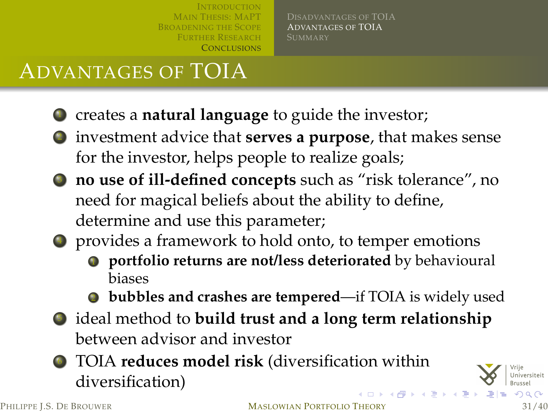D[ISADVANTAGES OF](#page-29-0) TOIA A[DVANTAGES OF](#page-30-0) TOIA

# ADVANTAGES OF TOIA

- **1** creates a **natural language** to guide the investor;
- <sup>2</sup> investment advice that **serves a purpose**, that makes sense for the investor, helps people to realize goals;
- <sup>3</sup> **no use of ill-defined concepts** such as "risk tolerance", no need for magical beliefs about the ability to define, determine and use this parameter;
- <sup>4</sup> provides a framework to hold onto, to temper emotions
	- $\bullet$  portfolio returns are not/less deteriorated by behavioural biases
	- <sup>2</sup> **bubbles and crashes are tempered**—if TOIA is widely used
- <sup>5</sup> ideal method to **build trust and a long term relationship** between advisor and investor
- <sup>6</sup> TOIA **reduces model risk** (diversification within diversification)

<span id="page-30-0"></span>

PHILIPPE L.S. DE BROUWER **MASLOWIAN PORTFOLIO THEORY** 31/40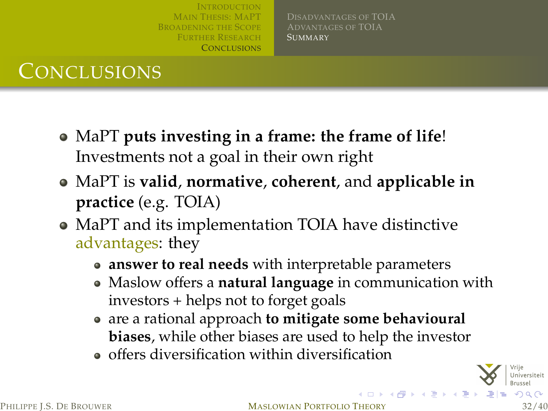D[ISADVANTAGES OF](#page-29-0) TOIA A[DVANTAGES OF](#page-30-0) TOIA **S[UMMARY](#page-31-0)** 

# **CONCLUSIONS**

- MaPT **puts investing in a frame: the frame of life**! Investments not a goal in their own right
- MaPT is **valid**, **normative**, **coherent**, and **applicable in practice** (e.g. TOIA)
- MaPT and its implementation TOIA have distinctive advantages: they
	- **answer to real needs** with interpretable parameters
	- Maslow offers a **natural language** in communication with investors + helps not to forget goals
	- are a rational approach **to mitigate some behavioural biases**, while other biases are used to help the investor
	- $\bullet$  offers diversification within diversification

<span id="page-31-0"></span>

PHILIPPE L.S. DE BROUWER MASLOWIAN PORTFOLIO THEORY

すロト オ個 ト オミト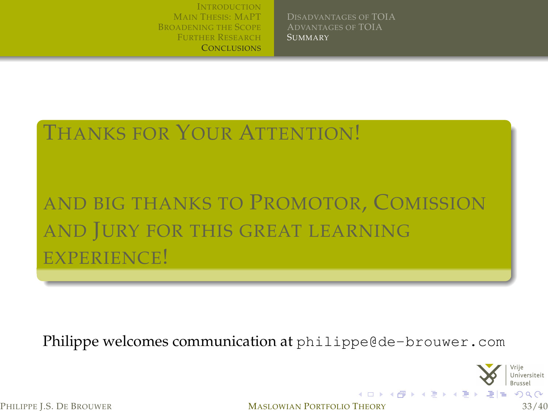D[ISADVANTAGES OF](#page-29-0) TOIA A[DVANTAGES OF](#page-30-0) TOIA **S[UMMARY](#page-31-0)** 

# THANKS FOR YOUR ATTENTION! AND BIG THANKS TO PROMOTOR, COMISSION

AND JURY FOR THIS GREAT LEARNING EXPERIENCE!

Philippe welcomes communication at <philippe@de-brouwer.com>

<span id="page-32-0"></span>

PHILIPPE L.S. DE BROUWER **MASLOWIAN PORTFOLIO THEORY** 33/40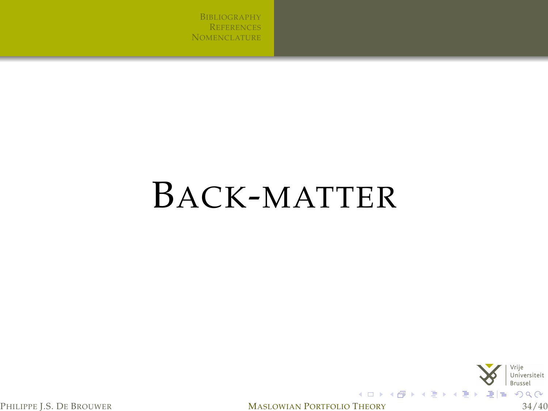B[IBLIOGRAPHY](#page-34-0) **R[EFERENCES](#page-35-3) N[OMENCLATURE](#page-39-0)** 

# BACK-MATTER

<span id="page-33-0"></span>

PHILIPPE J.S. DE BROUWER **MASLOWIAN PORTFOLIO THEORY** 34/40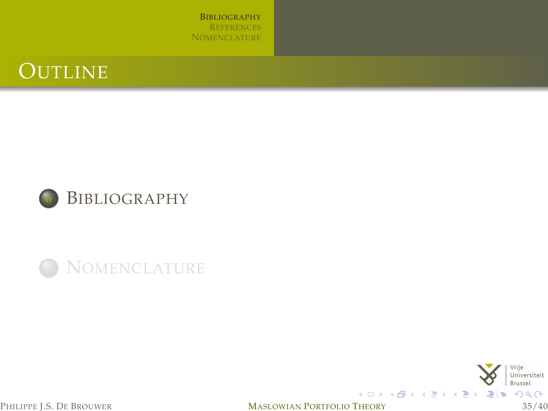B[IBLIOGRAPHY](#page-34-0) **R[EFERENCES](#page-35-3) N[OMENCLATURE](#page-39-0)** 









<span id="page-34-0"></span>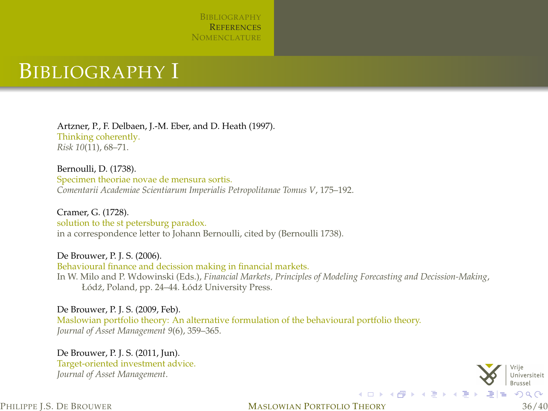

#### BIBLIOGRAPHY I

Artzner, P., F. Delbaen, J.-M. Eber, and D. Heath (1997). Thinking coherently. *Risk 10*(11), 68–71.

<span id="page-35-4"></span>Bernoulli, D. (1738). Specimen theoriae novae de mensura sortis. *Comentarii Academiae Scientiarum Imperialis Petropolitanae Tomus V*, 175–192.

Cramer, G. (1728). solution to the st petersburg paradox. in a correspondence letter to Johann Bernoulli, cited by [\(Bernoulli 1738\)](#page-35-4).

<span id="page-35-0"></span>De Brouwer, P. J. S. (2006). Behavioural finance and decission making in financial markets. In W. Milo and P. Wdowinski (Eds.), *Financial Markets, Principles of Modeling Forecasting and Decission-Making*, Łódź, Poland, pp. 24–44. Łódź University Press.

<span id="page-35-1"></span>De Brouwer, P. J. S. (2009, Feb). Maslowian portfolio theory: An alternative formulation of the behavioural portfolio theory. *Journal of Asset Management 9*(6), 359–365.

<span id="page-35-2"></span>De Brouwer, P. J. S. (2011, Jun). Target-oriented investment advice. *Journal of Asset Management*.

<span id="page-35-3"></span>

PHILIPPE L.S. DE BROUWER **MASLOWIAN PORTFOLIO THEORY** 36/40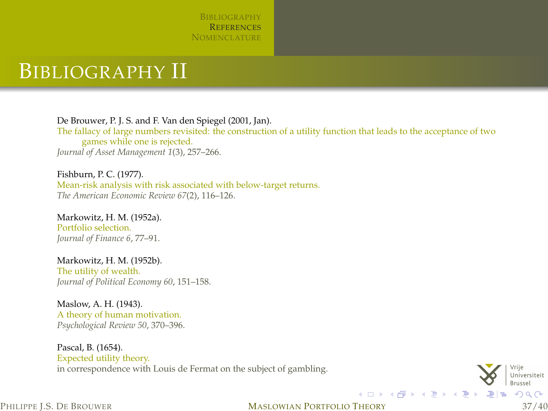

#### BIBLIOGRAPHY II

<span id="page-36-1"></span>De Brouwer, P. J. S. and F. Van den Spiegel (2001, Jan). The fallacy of large numbers revisited: the construction of a utility function that leads to the acceptance of two games while one is rejected. *Journal of Asset Management 1*(3), 257–266.

<span id="page-36-3"></span>Fishburn, P. C. (1977). Mean-risk analysis with risk associated with below-target returns. *The American Economic Review 67*(2), 116–126.

<span id="page-36-0"></span>Markowitz, H. M. (1952a). Portfolio selection. *Journal of Finance 6*, 77–91.

<span id="page-36-2"></span>Markowitz, H. M. (1952b). The utility of wealth. *Journal of Political Economy 60*, 151–158.

Maslow, A. H. (1943). A theory of human motivation. *Psychological Review 50*, 370–396.

Pascal, B. (1654). Expected utility theory. in correspondence with Louis de Fermat on the subject of gambling.



#### PHILIPPE L.S. DE BROUWER **MASLOWIAN PORTFOLIO THEORY** 37/40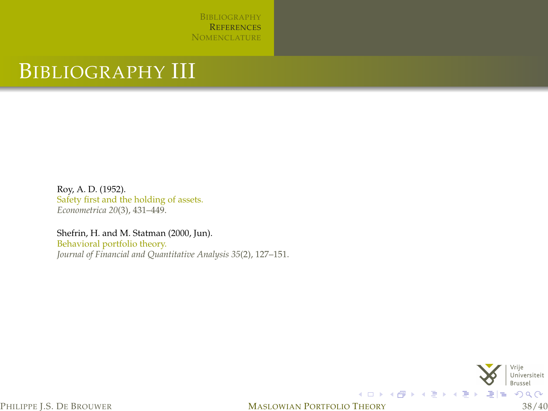B[IBLIOGRAPHY](#page-34-0) **R[EFERENCES](#page-35-3) N[OMENCLATURE](#page-39-0)** 

## BIBLIOGRAPHY III

<span id="page-37-1"></span>Roy, A. D. (1952). Safety first and the holding of assets. *Econometrica 20*(3), 431–449.

<span id="page-37-0"></span>Shefrin, H. and M. Statman (2000, Jun). Behavioral portfolio theory. *Journal of Financial and Quantitative Analysis 35*(2), 127–151.

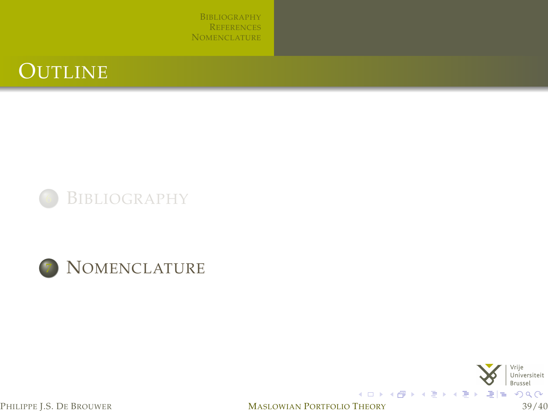B[IBLIOGRAPHY](#page-34-0) **R[EFERENCES](#page-35-3) N[OMENCLATURE](#page-39-0)** 









<span id="page-38-0"></span>